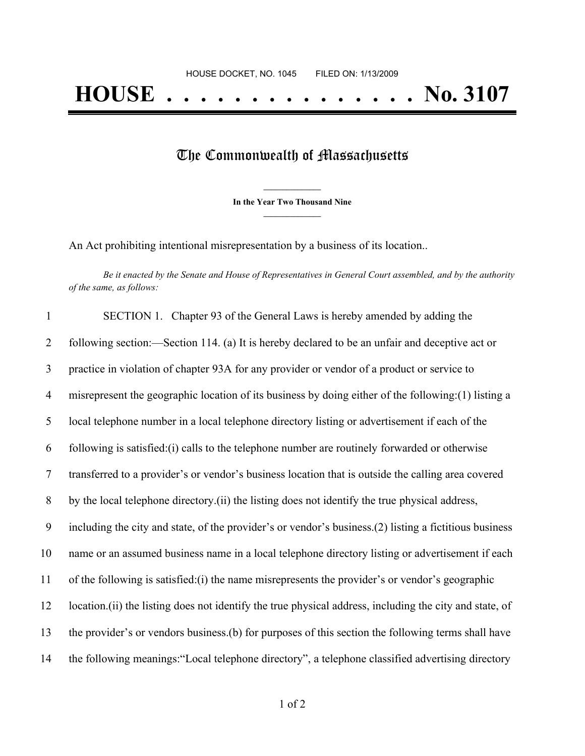## The Commonwealth of Massachusetts

**\_\_\_\_\_\_\_\_\_\_\_\_\_\_\_ In the Year Two Thousand Nine \_\_\_\_\_\_\_\_\_\_\_\_\_\_\_**

An Act prohibiting intentional misrepresentation by a business of its location..

Be it enacted by the Senate and House of Representatives in General Court assembled, and by the authority *of the same, as follows:*

| $\mathbf{1}$   | SECTION 1. Chapter 93 of the General Laws is hereby amended by adding the                                |
|----------------|----------------------------------------------------------------------------------------------------------|
| 2              | following section:—Section 114. (a) It is hereby declared to be an unfair and deceptive act or           |
| $\mathfrak{Z}$ | practice in violation of chapter 93A for any provider or vendor of a product or service to               |
| $\overline{4}$ | misrepresent the geographic location of its business by doing either of the following: (1) listing a     |
| 5              | local telephone number in a local telephone directory listing or advertisement if each of the            |
| 6              | following is satisfied: (i) calls to the telephone number are routinely forwarded or otherwise           |
| $\overline{7}$ | transferred to a provider's or vendor's business location that is outside the calling area covered       |
| 8              | by the local telephone directory. (ii) the listing does not identify the true physical address,          |
| 9              | including the city and state, of the provider's or vendor's business.(2) listing a fictitious business   |
| 10             | name or an assumed business name in a local telephone directory listing or advertisement if each         |
| 11             | of the following is satisfied: (i) the name misrepresents the provider's or vendor's geographic          |
| 12             | location. (ii) the listing does not identify the true physical address, including the city and state, of |
| 13             | the provider's or vendors business.(b) for purposes of this section the following terms shall have       |
| 14             | the following meanings: "Local telephone directory", a telephone classified advertising directory        |